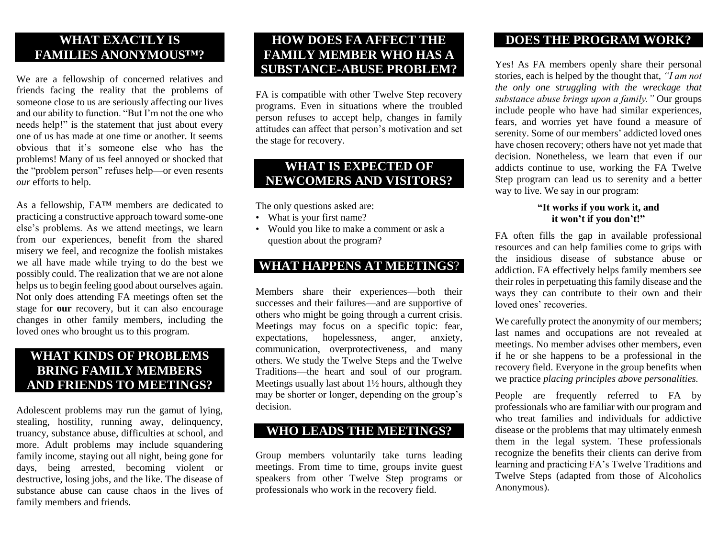#### **WHAT EXACTLY IS FAMILIES ANONYMOUS™?**

We are a fellowship of concerned relatives and friends facing the reality that the problems of someone close to us are seriously affecting our lives and our ability to function. "But I'm not the one who needs help!" is the statement that just about every one of us has made at one time or another. It seems obvious that it's someone else who has the problems! Many of us feel annoyed or shocked that the "problem person" refuses help—or even resents *our* efforts to help.

As a fellowship, FA™ members are dedicated to practicing a constructive approach toward some-one else's problems. As we attend meetings, we learn from our experiences, benefit from the shared misery we feel, and recognize the foolish mistakes we all have made while trying to do the best we possibly could. The realization that we are not alone helps us to begin feeling good about ourselves again. Not only does attending FA meetings often set the stage for **our** recovery, but it can also encourage changes in other family members, including the loved ones who brought us to this program.

#### **WHAT KINDS OF PROBLEMS BRING FAMILY MEMBERS AND FRIENDS TO MEETINGS?**

Adolescent problems may run the gamut of lying, stealing, hostility, running away, delinquency, truancy, substance abuse, difficulties at school, and more. Adult problems may include squandering family income, staying out all night, being gone for days, being arrested, becoming violent or destructive, losing jobs, and the like. The disease of substance abuse can cause chaos in the lives of family members and friends.

#### **HOW DOES FA AFFECT THE FAMILY MEMBER WHO HAS A SUBSTANCE-ABUSE PROBLEM?**

FA is compatible with other Twelve Step recovery programs. Even in situations where the troubled person refuses to accept help, changes in family attitudes can affect that person's motivation and set the stage for recovery.

#### **WHAT IS EXPECTED OF NEWCOMERS AND VISITORS?**

The only questions asked are:

- What is your first name?
- Would you like to make a comment or ask a question about the program?

#### **WHAT HAPPENS AT MEETINGS**?

Members share their experiences—both their successes and their failures—and are supportive of others who might be going through a current crisis. Meetings may focus on a specific topic: fear, expectations, hopelessness, anger, anxiety, communication, overprotectiveness, and many others. We study the Twelve Steps and the Twelve Traditions—the heart and soul of our program. Meetings usually last about 1½ hours, although they may be shorter or longer, depending on the group's decision.

#### **WHO LEADS THE MEETINGS?**

Group members voluntarily take turns leading meetings. From time to time, groups invite guest speakers from other Twelve Step programs or professionals who work in the recovery field.

#### **DOES THE PROGRAM WORK?**

Yes! As FA members openly share their personal stories, each is helped by the thought that, *"I am not the only one struggling with the wreckage that substance abuse brings upon a family."* Our groups include people who have had similar experiences, fears, and worries yet have found a measure of serenity. Some of our members' addicted loved ones have chosen recovery; others have not yet made that decision. Nonetheless, we learn that even if our addicts continue to use, working the FA Twelve Step program can lead us to serenity and a better way to live. We say in our program:

#### **"It works if you work it, and it won't if you don't!"**

FA often fills the gap in available professional resources and can help families come to grips with the insidious disease of substance abuse or addiction. FA effectively helps family members see their roles in perpetuating this family disease and the ways they can contribute to their own and their loved ones' recoveries.

We carefully protect the anonymity of our members; last names and occupations are not revealed at meetings. No member advises other members, even if he or she happens to be a professional in the recovery field. Everyone in the group benefits when we practice *placing principles above personalities.*

People are frequently referred to FA by professionals who are familiar with our program and who treat families and individuals for addictive disease or the problems that may ultimately enmesh them in the legal system. These professionals recognize the benefits their clients can derive from learning and practicing FA's Twelve Traditions and Twelve Steps (adapted from those of Alcoholics Anonymous).